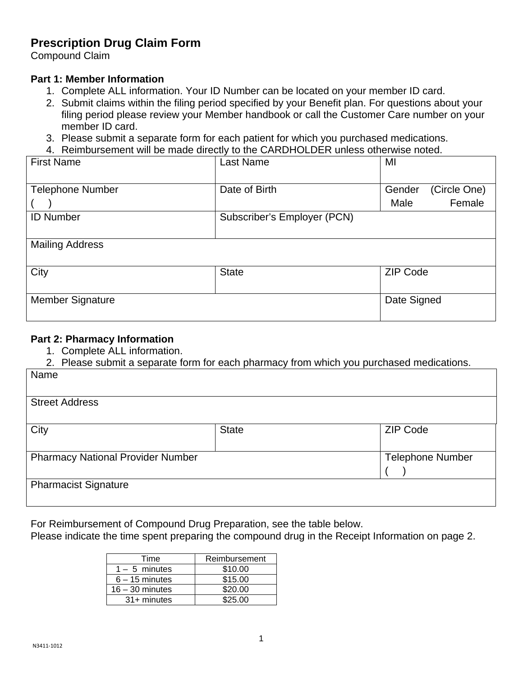# **Prescription Drug Claim Form**

Compound Claim

# **Part 1: Member Information**

- 1. Complete ALL information. Your ID Number can be located on your member ID card.
- 2. Submit claims within the filing period specified by your Benefit plan. For questions about your filing period please review your Member handbook or call the Customer Care number on your member ID card.
- 3. Please submit a separate form for each patient for which you purchased medications.
- 4. Reimbursement will be made directly to the CARDHOLDER unless otherwise noted.

| <b>First Name</b>       | <b>Last Name</b>            | MI              |              |
|-------------------------|-----------------------------|-----------------|--------------|
|                         |                             |                 |              |
| <b>Telephone Number</b> | Date of Birth               | Gender          | (Circle One) |
|                         |                             | Male            | Female       |
| <b>ID Number</b>        | Subscriber's Employer (PCN) |                 |              |
|                         |                             |                 |              |
| <b>Mailing Address</b>  |                             |                 |              |
|                         |                             |                 |              |
| City                    | <b>State</b>                | <b>ZIP Code</b> |              |
|                         |                             |                 |              |
| <b>Member Signature</b> |                             | Date Signed     |              |
|                         |                             |                 |              |

### **Part 2: Pharmacy Information**

- 1. Complete ALL information.
- 2. Please submit a separate form for each pharmacy from which you purchased medications.

| Name                                     |              |                         |  |
|------------------------------------------|--------------|-------------------------|--|
| <b>Street Address</b>                    |              |                         |  |
| City                                     | <b>State</b> | <b>ZIP Code</b>         |  |
| <b>Pharmacy National Provider Number</b> |              | <b>Telephone Number</b> |  |
| <b>Pharmacist Signature</b>              |              |                         |  |

For Reimbursement of Compound Drug Preparation, see the table below.

Please indicate the time spent preparing the compound drug in the Receipt Information on page 2.

| Time              | Reimbursement |
|-------------------|---------------|
| $1 - 5$ minutes   | \$10.00       |
| $6 - 15$ minutes  | \$15.00       |
| $16 - 30$ minutes | \$20.00       |
| $31 +$ minutes    | \$25.00       |